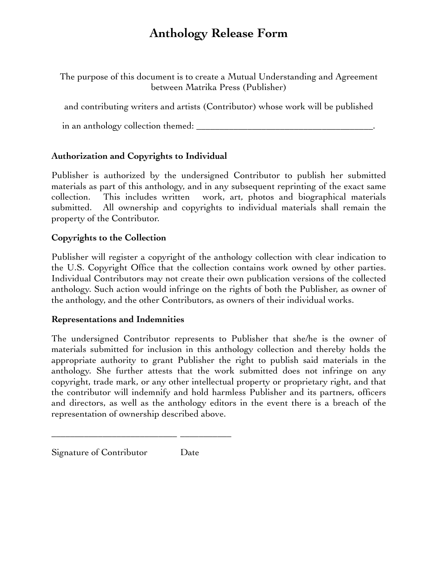# **Anthology Release Form**

The purpose of this document is to create a Mutual Understanding and Agreement between Matrika Press (Publisher)

and contributing writers and artists (Contributor) whose work will be published

in an anthology collection themed: \_\_\_\_\_\_\_\_\_\_\_\_\_\_\_\_\_\_\_\_\_\_\_\_\_\_\_\_\_\_\_\_\_\_\_\_\_\_.

## **Authorization and Copyrights to Individual**

Publisher is authorized by the undersigned Contributor to publish her submitted materials as part of this anthology, and in any subsequent reprinting of the exact same collection. This includes written work, art, photos and biographical materials submitted. All ownership and copyrights to individual materials shall remain the property of the Contributor.

## **Copyrights to the Collection**

Publisher will register a copyright of the anthology collection with clear indication to the U.S. Copyright Office that the collection contains work owned by other parties. Individual Contributors may not create their own publication versions of the collected anthology. Such action would infringe on the rights of both the Publisher, as owner of the anthology, and the other Contributors, as owners of their individual works.

### **Representations and Indemnities**

The undersigned Contributor represents to Publisher that she/he is the owner of materials submitted for inclusion in this anthology collection and thereby holds the appropriate authority to grant Publisher the right to publish said materials in the anthology. She further attests that the work submitted does not infringe on any copyright, trade mark, or any other intellectual property or proprietary right, and that the contributor will indemnify and hold harmless Publisher and its partners, officers and directors, as well as the anthology editors in the event there is a breach of the representation of ownership described above.

|  |  | Signature of Contributor | Date |
|--|--|--------------------------|------|
|--|--|--------------------------|------|

\_\_\_\_\_\_\_\_\_\_\_\_\_\_\_\_\_\_\_\_\_\_\_\_\_\_\_ \_\_\_\_\_\_\_\_\_\_\_